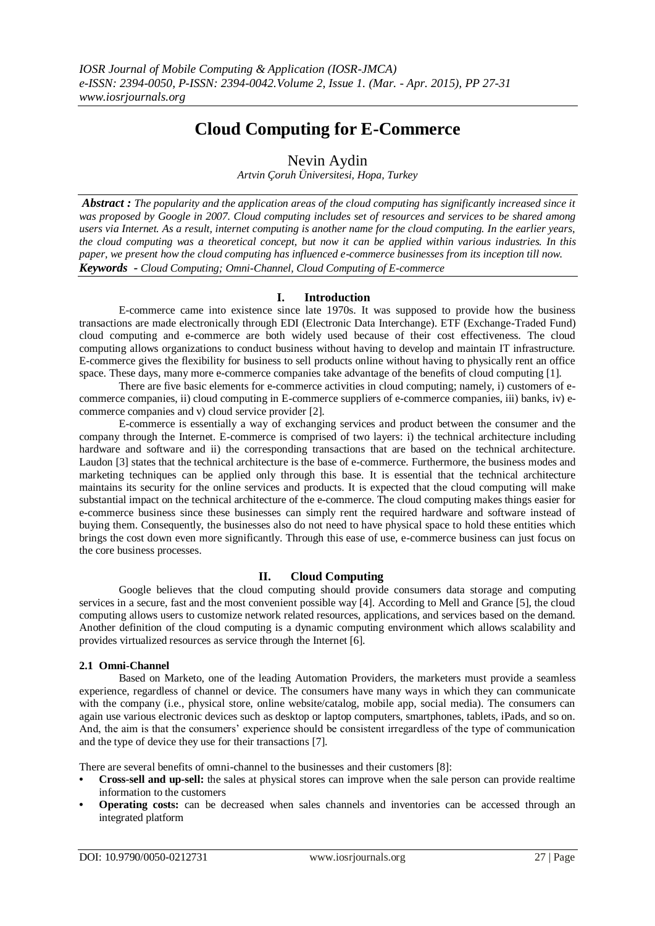# **Cloud Computing for E-Commerce**

# Nevin Aydin

*Artvin Çoruh Üniversitesi, Hopa, Turkey*

*Abstract : The popularity and the application areas of the cloud computing has significantly increased since it was proposed by Google in 2007. Cloud computing includes set of resources and services to be shared among users via Internet. As a result, internet computing is another name for the cloud computing. In the earlier years, the cloud computing was a theoretical concept, but now it can be applied within various industries. In this paper, we present how the cloud computing has influenced e-commerce businesses from its inception till now. Keywords - Cloud Computing; Omni-Channel, Cloud Computing of E-commerce*

# **I. Introduction**

E-commerce came into existence since late 1970s. It was supposed to provide how the business transactions are made electronically through EDI (Electronic Data Interchange). ETF (Exchange-Traded Fund) cloud computing and e-commerce are both widely used because of their cost effectiveness. The cloud computing allows organizations to conduct business without having to develop and maintain IT infrastructure. E-commerce gives the flexibility for business to sell products online without having to physically rent an office space. These days, many more e-commerce companies take advantage of the benefits of cloud computing [1].

There are five basic elements for e-commerce activities in cloud computing; namely, i) customers of ecommerce companies, ii) cloud computing in E-commerce suppliers of e-commerce companies, iii) banks, iv) ecommerce companies and v) cloud service provider [2].

E-commerce is essentially a way of exchanging services and product between the consumer and the company through the Internet. E-commerce is comprised of two layers: i) the technical architecture including hardware and software and ii) the corresponding transactions that are based on the technical architecture. Laudon [3] states that the technical architecture is the base of e-commerce. Furthermore, the business modes and marketing techniques can be applied only through this base. It is essential that the technical architecture maintains its security for the online services and products. It is expected that the cloud computing will make substantial impact on the technical architecture of the e-commerce. The cloud computing makes things easier for e-commerce business since these businesses can simply rent the required hardware and software instead of buying them. Consequently, the businesses also do not need to have physical space to hold these entities which brings the cost down even more significantly. Through this ease of use, e-commerce business can just focus on the core business processes.

### **II. Cloud Computing**

Google believes that the cloud computing should provide consumers data storage and computing services in a secure, fast and the most convenient possible way [4]. According to Mell and Grance [5], the cloud computing allows users to customize network related resources, applications, and services based on the demand. Another definition of the cloud computing is a dynamic computing environment which allows scalability and provides virtualized resources as service through the Internet [6].

#### **2.1 Omni-Channel**

Based on Marketo, one of the leading Automation Providers, the marketers must provide a seamless experience, regardless of channel or device. The consumers have many ways in which they can communicate with the company (i.e., physical store, online website/catalog, mobile app, social media). The consumers can again use various electronic devices such as desktop or laptop computers, smartphones, tablets, iPads, and so on. And, the aim is that the consumers' experience should be consistent irregardless of the type of communication and the type of device they use for their transactions [7].

There are several benefits of omni-channel to the businesses and their customers [8]:

- **• Cross-sell and up-sell:** the sales at physical stores can improve when the sale person can provide realtime information to the customers
- **Operating costs:** can be decreased when sales channels and inventories can be accessed through an integrated platform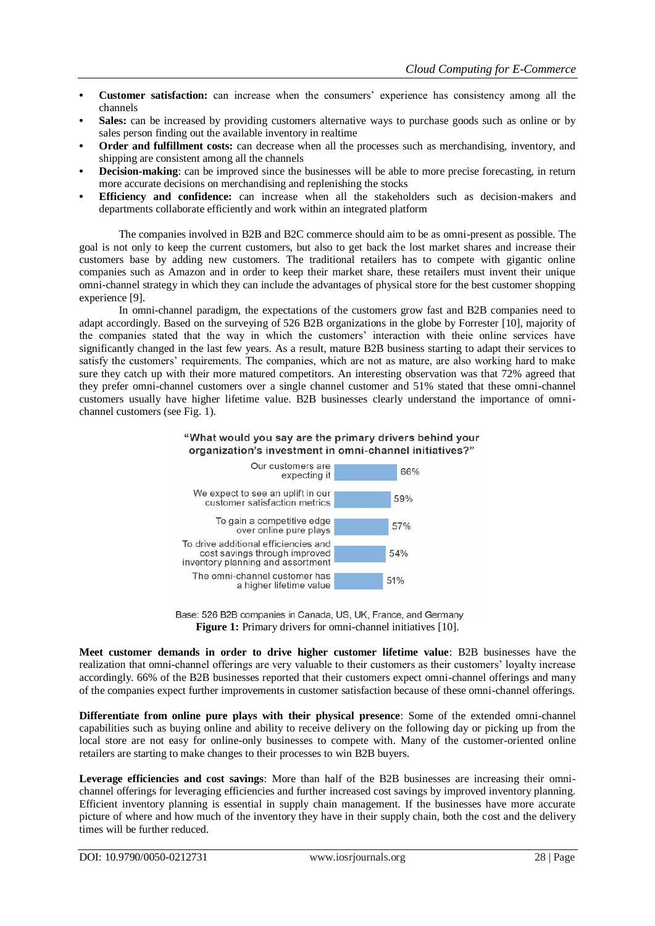- **• Customer satisfaction:** can increase when the consumers' experience has consistency among all the channels
- **Sales:** can be increased by providing customers alternative ways to purchase goods such as online or by sales person finding out the available inventory in realtime
- **•• Order and fulfillment costs:** can decrease when all the processes such as merchandising, inventory, and shipping are consistent among all the channels
- **Decision-making**: can be improved since the businesses will be able to more precise forecasting, in return more accurate decisions on merchandising and replenishing the stocks
- **Efficiency and confidence:** can increase when all the stakeholders such as decision-makers and departments collaborate efficiently and work within an integrated platform

The companies involved in B2B and B2C commerce should aim to be as omni-present as possible. The goal is not only to keep the current customers, but also to get back the lost market shares and increase their customers base by adding new customers. The traditional retailers has to compete with gigantic online companies such as Amazon and in order to keep their market share, these retailers must invent their unique omni-channel strategy in which they can include the advantages of physical store for the best customer shopping experience [9].

In omni-channel paradigm, the expectations of the customers grow fast and B2B companies need to adapt accordingly. Based on the surveying of 526 B2B organizations in the globe by Forrester [10], majority of the companies stated that the way in which the customers' interaction with theie online services have significantly changed in the last few years. As a result, mature B2B business starting to adapt their services to satisfy the customers' requirements. The companies, which are not as mature, are also working hard to make sure they catch up with their more matured competitors. An interesting observation was that 72% agreed that they prefer omni-channel customers over a single channel customer and 51% stated that these omni-channel customers usually have higher lifetime value. B2B businesses clearly understand the importance of omnichannel customers (see Fig. 1).

#### "What would you say are the primary drivers behind your organization's investment in omni-channel initiatives?"



Base: 526 B2B companies in Canada, US, UK, France, and Germany **Figure 1:** Primary drivers for omni-channel initiatives [10].

**Meet customer demands in order to drive higher customer lifetime value**: B2B businesses have the realization that omni-channel offerings are very valuable to their customers as their customers' loyalty increase accordingly. 66% of the B2B businesses reported that their customers expect omni-channel offerings and many of the companies expect further improvements in customer satisfaction because of these omni-channel offerings.

**Differentiate from online pure plays with their physical presence**: Some of the extended omni-channel capabilities such as buying online and ability to receive delivery on the following day or picking up from the local store are not easy for online-only businesses to compete with. Many of the customer-oriented online retailers are starting to make changes to their processes to win B2B buyers.

**Leverage efficiencies and cost savings**: More than half of the B2B businesses are increasing their omnichannel offerings for leveraging efficiencies and further increased cost savings by improved inventory planning. Efficient inventory planning is essential in supply chain management. If the businesses have more accurate picture of where and how much of the inventory they have in their supply chain, both the cost and the delivery times will be further reduced.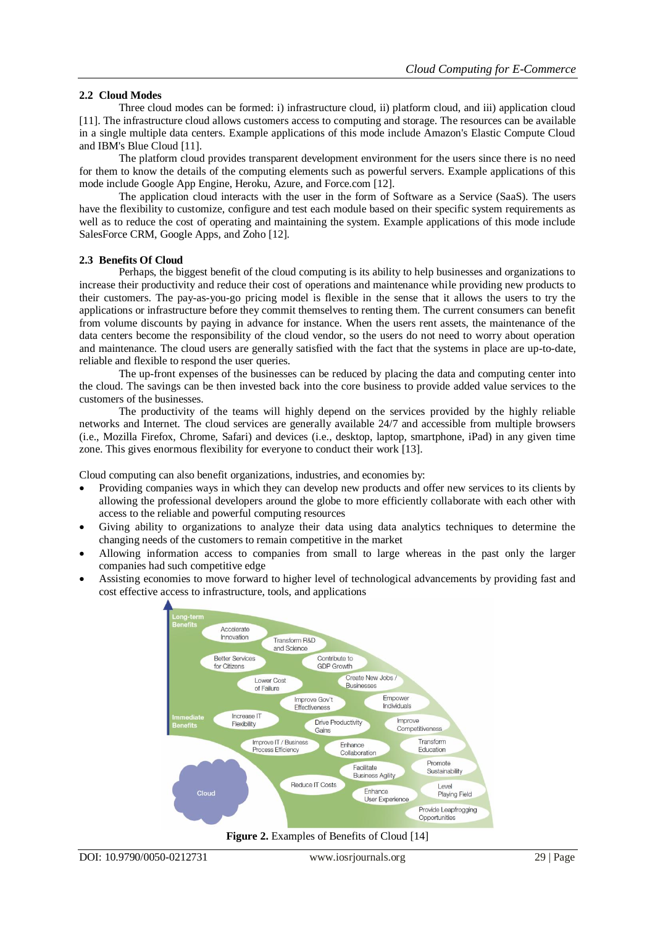#### **2.2 Cloud Modes**

Three cloud modes can be formed: i) infrastructure cloud, ii) platform cloud, and iii) application cloud [11]. The infrastructure cloud allows customers access to computing and storage. The resources can be available in a single multiple data centers. Example applications of this mode include Amazon's Elastic Compute Cloud and IBM's Blue Cloud [11].

The platform cloud provides transparent development environment for the users since there is no need for them to know the details of the computing elements such as powerful servers. Example applications of this mode include Google App Engine, Heroku, Azure, and Force.com [12].

The application cloud interacts with the user in the form of Software as a Service (SaaS). The users have the flexibility to customize, configure and test each module based on their specific system requirements as well as to reduce the cost of operating and maintaining the system. Example applications of this mode include SalesForce CRM, Google Apps, and Zoho [12].

#### **2.3 Benefits Of Cloud**

Perhaps, the biggest benefit of the cloud computing is its ability to help businesses and organizations to increase their productivity and reduce their cost of operations and maintenance while providing new products to their customers. The pay-as-you-go pricing model is flexible in the sense that it allows the users to try the applications or infrastructure before they commit themselves to renting them. The current consumers can benefit from volume discounts by paying in advance for instance. When the users rent assets, the maintenance of the data centers become the responsibility of the cloud vendor, so the users do not need to worry about operation and maintenance. The cloud users are generally satisfied with the fact that the systems in place are up-to-date, reliable and flexible to respond the user queries.

The up-front expenses of the businesses can be reduced by placing the data and computing center into the cloud. The savings can be then invested back into the core business to provide added value services to the customers of the businesses.

The productivity of the teams will highly depend on the services provided by the highly reliable networks and Internet. The cloud services are generally available 24/7 and accessible from multiple browsers (i.e., Mozilla Firefox, Chrome, Safari) and devices (i.e., desktop, laptop, smartphone, iPad) in any given time zone. This gives enormous flexibility for everyone to conduct their work [13].

Cloud computing can also benefit organizations, industries, and economies by:

- Providing companies ways in which they can develop new products and offer new services to its clients by allowing the professional developers around the globe to more efficiently collaborate with each other with access to the reliable and powerful computing resources
- Giving ability to organizations to analyze their data using data analytics techniques to determine the changing needs of the customers to remain competitive in the market
- Allowing information access to companies from small to large whereas in the past only the larger companies had such competitive edge
- Assisting economies to move forward to higher level of technological advancements by providing fast and cost effective access to infrastructure, tools, and applications



**Figure 2.** Examples of Benefits of Cloud [14]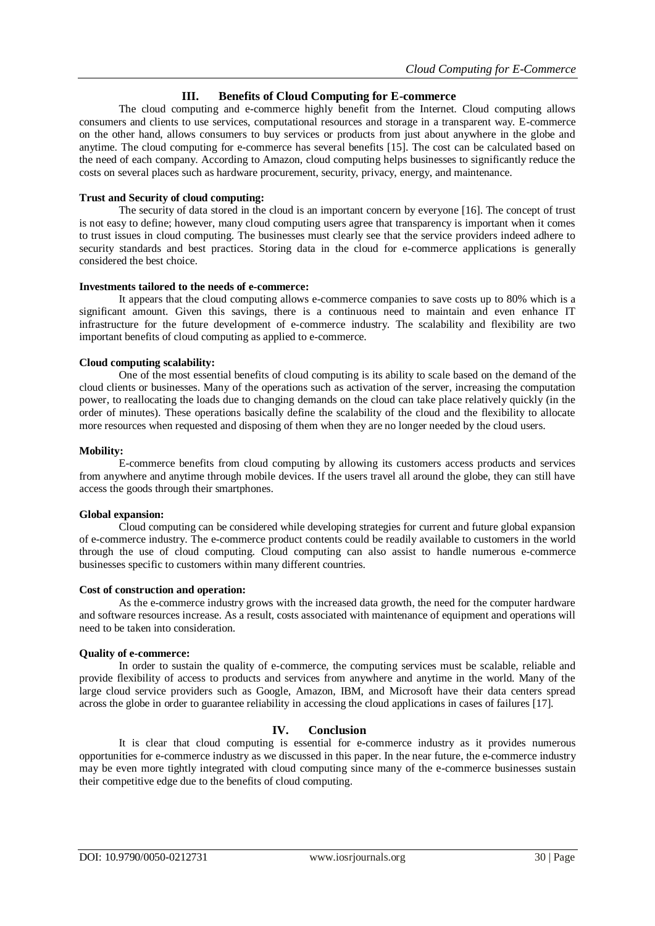# **III. Benefits of Cloud Computing for E-commerce**

The cloud computing and e-commerce highly benefit from the Internet. Cloud computing allows consumers and clients to use services, computational resources and storage in a transparent way. E-commerce on the other hand, allows consumers to buy services or products from just about anywhere in the globe and anytime. The cloud computing for e-commerce has several benefits [15]. The cost can be calculated based on the need of each company. According to Amazon, cloud computing helps businesses to significantly reduce the costs on several places such as hardware procurement, security, privacy, energy, and maintenance.

#### **Trust and Security of cloud computing:**

The security of data stored in the cloud is an important concern by everyone [16]. The concept of trust is not easy to define; however, many cloud computing users agree that transparency is important when it comes to trust issues in cloud computing. The businesses must clearly see that the service providers indeed adhere to security standards and best practices. Storing data in the cloud for e-commerce applications is generally considered the best choice.

#### **Investments tailored to the needs of e-commerce:**

It appears that the cloud computing allows e-commerce companies to save costs up to 80% which is a significant amount. Given this savings, there is a continuous need to maintain and even enhance IT infrastructure for the future development of e-commerce industry. The scalability and flexibility are two important benefits of cloud computing as applied to e-commerce.

#### **Cloud computing scalability:**

One of the most essential benefits of cloud computing is its ability to scale based on the demand of the cloud clients or businesses. Many of the operations such as activation of the server, increasing the computation power, to reallocating the loads due to changing demands on the cloud can take place relatively quickly (in the order of minutes). These operations basically define the scalability of the cloud and the flexibility to allocate more resources when requested and disposing of them when they are no longer needed by the cloud users.

#### **Mobility:**

E-commerce benefits from cloud computing by allowing its customers access products and services from anywhere and anytime through mobile devices. If the users travel all around the globe, they can still have access the goods through their smartphones.

#### **Global expansion:**

Cloud computing can be considered while developing strategies for current and future global expansion of e-commerce industry. The e-commerce product contents could be readily available to customers in the world through the use of cloud computing. Cloud computing can also assist to handle numerous e-commerce businesses specific to customers within many different countries.

#### **Cost of construction and operation:**

As the e-commerce industry grows with the increased data growth, the need for the computer hardware and software resources increase. As a result, costs associated with maintenance of equipment and operations will need to be taken into consideration.

#### **Quality of e-commerce:**

In order to sustain the quality of e-commerce, the computing services must be scalable, reliable and provide flexibility of access to products and services from anywhere and anytime in the world. Many of the large cloud service providers such as Google, Amazon, IBM, and Microsoft have their data centers spread across the globe in order to guarantee reliability in accessing the cloud applications in cases of failures [17].

## **IV. Conclusion**

It is clear that cloud computing is essential for e-commerce industry as it provides numerous opportunities for e-commerce industry as we discussed in this paper. In the near future, the e-commerce industry may be even more tightly integrated with cloud computing since many of the e-commerce businesses sustain their competitive edge due to the benefits of cloud computing.